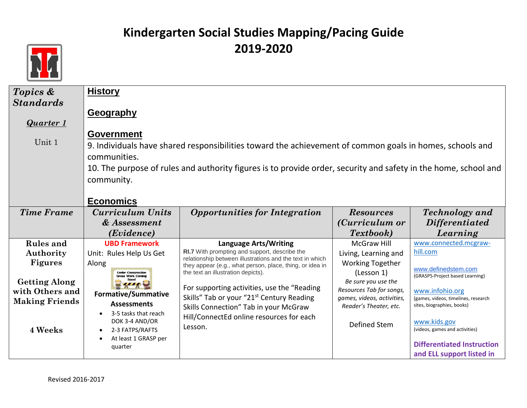

| Topics &              | <b>History</b>                                        |                                                                                                                 |                                   |                                     |
|-----------------------|-------------------------------------------------------|-----------------------------------------------------------------------------------------------------------------|-----------------------------------|-------------------------------------|
| <b>Standards</b>      |                                                       |                                                                                                                 |                                   |                                     |
|                       | <b>Geography</b>                                      |                                                                                                                 |                                   |                                     |
| <b>Quarter 1</b>      |                                                       |                                                                                                                 |                                   |                                     |
| Unit 1                | <b>Government</b>                                     |                                                                                                                 |                                   |                                     |
|                       |                                                       | 9. Individuals have shared responsibilities toward the achievement of common goals in homes, schools and        |                                   |                                     |
|                       | communities.                                          |                                                                                                                 |                                   |                                     |
|                       |                                                       | 10. The purpose of rules and authority figures is to provide order, security and safety in the home, school and |                                   |                                     |
|                       | community.                                            |                                                                                                                 |                                   |                                     |
|                       |                                                       |                                                                                                                 |                                   |                                     |
|                       | <b>Economics</b>                                      |                                                                                                                 |                                   |                                     |
| <b>Time Frame</b>     | Curriculum Units                                      | <b>Opportunities for Integration</b>                                                                            | <b>Resources</b>                  | <b>Technology</b> and               |
|                       | & Assessment                                          |                                                                                                                 | ( <i>Curriculum or</i>            | <b>Differentiated</b>               |
|                       | (Evidence)                                            |                                                                                                                 | <i>Textbook</i> )                 | Learning                            |
| <b>Rules</b> and      | <b>UBD Framework</b>                                  | <b>Language Arts/Writing</b>                                                                                    | <b>McGraw Hill</b>                | www.connected.mcgraw-               |
| Authority             | Unit: Rules Help Us Get                               | RI.7 With prompting and support, describe the<br>relationship between illustrations and the text in which       | Living, Learning and              | hill.com                            |
| <b>Figures</b>        | Along                                                 | they appear (e.g., what person, place, thing, or idea in                                                        | <b>Working Together</b>           | www.definedstem.com                 |
| <b>Getting Along</b>  | <b>Under Construction</b><br><b>Great Work Coming</b> | the text an illustration depicts).                                                                              | (Lesson 1)<br>Be sure you use the | (GRASPS-Project based Learning)     |
| with Others and       |                                                       | For supporting activities, use the "Reading"                                                                    | Resources Tab for songs,          | www.infohio.org                     |
| <b>Making Friends</b> | <b>Formative/Summative</b>                            | Skills" Tab or your "21st Century Reading                                                                       | games, videos, activities,        | (games, videos, timelines, research |
|                       | <b>Assessments</b><br>3-5 tasks that reach            | Skills Connection" Tab in your McGraw                                                                           | Reader's Theater, etc.            | sites, biographies, books)          |
|                       | DOK 3-4 AND/OR                                        | Hill/ConnectEd online resources for each                                                                        | Defined Stem                      | www.kids.gov                        |
| 4 Weeks               | 2-3 FATPS/RAFTS                                       | Lesson.                                                                                                         |                                   | (videos, games and activities)      |
|                       | At least 1 GRASP per<br>quarter                       |                                                                                                                 |                                   | <b>Differentiated Instruction</b>   |
|                       |                                                       |                                                                                                                 |                                   | and ELL support listed in           |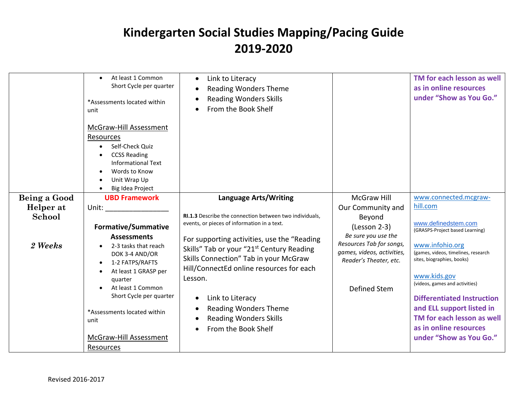|              | At least 1 Common<br>Short Cycle per quarter<br>*Assessments located within<br>unit                                                                                    | Link to Literacy<br>$\bullet$<br><b>Reading Wonders Theme</b><br><b>Reading Wonders Skills</b><br>From the Book Shelf                                                                                                  |                                                                                                         | TM for each lesson as well<br>as in online resources<br>under "Show as You Go."                                                                                                                          |
|--------------|------------------------------------------------------------------------------------------------------------------------------------------------------------------------|------------------------------------------------------------------------------------------------------------------------------------------------------------------------------------------------------------------------|---------------------------------------------------------------------------------------------------------|----------------------------------------------------------------------------------------------------------------------------------------------------------------------------------------------------------|
|              | McGraw-Hill Assessment<br><b>Resources</b><br>Self-Check Quiz<br><b>CCSS Reading</b><br><b>Informational Text</b><br>Words to Know<br>Unit Wrap Up<br>Big Idea Project |                                                                                                                                                                                                                        |                                                                                                         |                                                                                                                                                                                                          |
| Being a Good | <b>UBD Framework</b>                                                                                                                                                   | <b>Language Arts/Writing</b>                                                                                                                                                                                           | <b>McGraw Hill</b>                                                                                      | www.connected.mcgraw-                                                                                                                                                                                    |
| Helper at    | Unit: and the state of the state of the state of the state of the state of the state of the state of the state                                                         |                                                                                                                                                                                                                        | Our Community and                                                                                       | hill.com                                                                                                                                                                                                 |
| School       | <b>Formative/Summative</b><br><b>Assessments</b>                                                                                                                       | RI.1.3 Describe the connection between two individuals,<br>events, or pieces of information in a text.<br>For supporting activities, use the "Reading                                                                  | Beyond<br>$(Lesson 2-3)$<br>Be sure you use the                                                         | www.definedstem.com<br>(GRASPS-Project based Learning)                                                                                                                                                   |
| 2 Weeks      | 2-3 tasks that reach<br>DOK 3-4 AND/OR<br>1-2 FATPS/RAFTS<br>At least 1 GRASP per<br>quarter<br>At least 1 Common<br>Short Cycle per quarter                           | Skills" Tab or your "21 <sup>st</sup> Century Reading<br>Skills Connection" Tab in your McGraw<br>Hill/ConnectEd online resources for each<br>Lesson.<br>Link to Literacy<br>$\bullet$<br><b>Reading Wonders Theme</b> | Resources Tab for songs,<br>games, videos, activities,<br>Reader's Theater, etc.<br><b>Defined Stem</b> | www.infohio.org<br>(games, videos, timelines, research<br>sites, biographies, books)<br>www.kids.gov<br>(videos, games and activities)<br><b>Differentiated Instruction</b><br>and ELL support listed in |
|              | *Assessments located within<br>unit                                                                                                                                    | <b>Reading Wonders Skills</b><br>From the Book Shelf                                                                                                                                                                   |                                                                                                         | TM for each lesson as well<br>as in online resources                                                                                                                                                     |
|              | McGraw-Hill Assessment                                                                                                                                                 |                                                                                                                                                                                                                        |                                                                                                         | under "Show as You Go."                                                                                                                                                                                  |
|              | Resources                                                                                                                                                              |                                                                                                                                                                                                                        |                                                                                                         |                                                                                                                                                                                                          |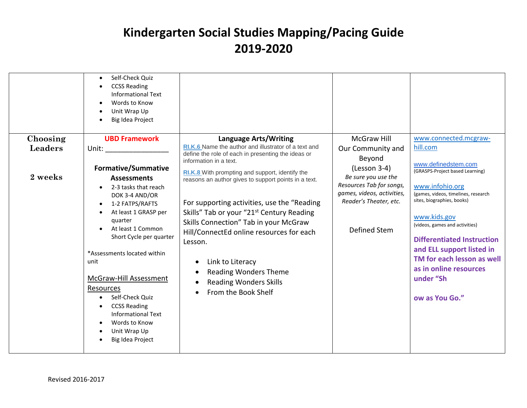|                     | Self-Check Quiz<br>$\bullet$<br><b>CCSS Reading</b><br>$\bullet$<br><b>Informational Text</b><br>Words to Know<br>$\bullet$<br>Unit Wrap Up<br>Big Idea Project                                                                                                                                                                                                                                                                                                                                                                                                                                                                                                                     |                                                                                                                                                                                                                                                                                                                                                                                                                                                                                                             |                                                                                                                                                                          |                                                                                                                                                                                                                                                                                                                                                           |
|---------------------|-------------------------------------------------------------------------------------------------------------------------------------------------------------------------------------------------------------------------------------------------------------------------------------------------------------------------------------------------------------------------------------------------------------------------------------------------------------------------------------------------------------------------------------------------------------------------------------------------------------------------------------------------------------------------------------|-------------------------------------------------------------------------------------------------------------------------------------------------------------------------------------------------------------------------------------------------------------------------------------------------------------------------------------------------------------------------------------------------------------------------------------------------------------------------------------------------------------|--------------------------------------------------------------------------------------------------------------------------------------------------------------------------|-----------------------------------------------------------------------------------------------------------------------------------------------------------------------------------------------------------------------------------------------------------------------------------------------------------------------------------------------------------|
| Choosing<br>Leaders | <b>UBD Framework</b>                                                                                                                                                                                                                                                                                                                                                                                                                                                                                                                                                                                                                                                                | <b>Language Arts/Writing</b><br>RI.K.6 Name the author and illustrator of a text and                                                                                                                                                                                                                                                                                                                                                                                                                        | <b>McGraw Hill</b>                                                                                                                                                       | www.connected.mcgraw-<br>hill.com                                                                                                                                                                                                                                                                                                                         |
| 2 weeks             | Unit: the contract of the contract of the contract of the contract of the contract of the contract of the contract of the contract of the contract of the contract of the contract of the contract of the contract of the cont<br><b>Formative/Summative</b><br><b>Assessments</b><br>2-3 tasks that reach<br>DOK 3-4 AND/OR<br>1-2 FATPS/RAFTS<br>$\bullet$<br>At least 1 GRASP per<br>$\bullet$<br>quarter<br>At least 1 Common<br>Short Cycle per quarter<br>*Assessments located within<br>unit<br>McGraw-Hill Assessment<br>Resources<br>Self-Check Quiz<br><b>CCSS Reading</b><br>$\bullet$<br><b>Informational Text</b><br>Words to Know<br>Unit Wrap Up<br>Big Idea Project | define the role of each in presenting the ideas or<br>information in a text.<br>RI.K.8 With prompting and support, identify the<br>reasons an author gives to support points in a text.<br>For supporting activities, use the "Reading<br>Skills" Tab or your "21 <sup>st</sup> Century Reading<br>Skills Connection" Tab in your McGraw<br>Hill/ConnectEd online resources for each<br>Lesson.<br>Link to Literacy<br><b>Reading Wonders Theme</b><br><b>Reading Wonders Skills</b><br>From the Book Shelf | Our Community and<br>Beyond<br>$(Lesson 3-4)$<br>Be sure you use the<br>Resources Tab for songs,<br>games, videos, activities,<br>Reader's Theater, etc.<br>Defined Stem | www.definedstem.com<br>(GRASPS-Project based Learning)<br>www.infohio.org<br>(games, videos, timelines, research<br>sites, biographies, books)<br>www.kids.gov<br>(videos, games and activities)<br><b>Differentiated Instruction</b><br>and ELL support listed in<br>TM for each lesson as well<br>as in online resources<br>under "Sh<br>ow as You Go." |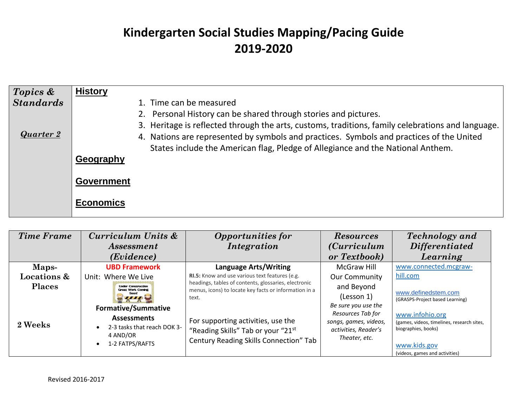| $\sqrt{2}$ Topics & | <b>History</b>                                                                                                                                                                                                                                                                                                                                      |
|---------------------|-----------------------------------------------------------------------------------------------------------------------------------------------------------------------------------------------------------------------------------------------------------------------------------------------------------------------------------------------------|
| <b>Standards</b>    | 1. Time can be measured                                                                                                                                                                                                                                                                                                                             |
| Quarter 2           | 2. Personal History can be shared through stories and pictures.<br>3. Heritage is reflected through the arts, customs, traditions, family celebrations and language.<br>4. Nations are represented by symbols and practices. Symbols and practices of the United<br>States include the American flag, Pledge of Allegiance and the National Anthem. |
|                     | Geography                                                                                                                                                                                                                                                                                                                                           |
|                     | <b>Government</b>                                                                                                                                                                                                                                                                                                                                   |
|                     | Economics                                                                                                                                                                                                                                                                                                                                           |

| <b>Time Frame</b>      | Curriculum Units &<br><i>Assessment</i>               | <b>Opportunities for</b><br><i>Integration</i>                                                                | <b>Resources</b><br><i>(Curriculum</i> )      | <b>Technology</b> and<br><b>Differentiated</b>                    |
|------------------------|-------------------------------------------------------|---------------------------------------------------------------------------------------------------------------|-----------------------------------------------|-------------------------------------------------------------------|
|                        | ( <i>Evidence</i> )                                   |                                                                                                               | or Textbook)                                  | Learning                                                          |
| Maps-                  | <b>UBD Framework</b>                                  | <b>Language Arts/Writing</b>                                                                                  | <b>McGraw Hill</b>                            | www.connected.mcgraw-                                             |
| <b>Locations &amp;</b> | Unit: Where We Live                                   | RI.5: Know and use various text features (e.g.                                                                | <b>Our Community</b>                          | hill.com                                                          |
| <b>Places</b>          | <b>Under Construction</b><br><b>Great Work Coming</b> | headings, tables of contents, glossaries, electronic<br>menus, icons) to locate key facts or information in a | and Beyond                                    |                                                                   |
|                        |                                                       | text.                                                                                                         | (Lesson 1)                                    | www.definedstem.com<br>(GRASPS-Project based Learning)            |
|                        | <b>Formative/Summative</b>                            |                                                                                                               | Be sure you use the                           |                                                                   |
|                        | <b>Assessments</b>                                    |                                                                                                               | Resources Tab for                             | www.infohio.org                                                   |
| 2 Weeks                | 2-3 tasks that reach DOK 3-<br>4 AND/OR               | For supporting activities, use the<br>"Reading Skills" Tab or your "21st                                      | songs, games, videos,<br>activities, Reader's | (games, videos, timelines, research sites,<br>biographies, books) |
|                        | 1-2 FATPS/RAFTS                                       | Century Reading Skills Connection" Tab                                                                        | Theater, etc.                                 |                                                                   |
|                        |                                                       |                                                                                                               |                                               | www.kids.gov<br>(videos, games and activities)                    |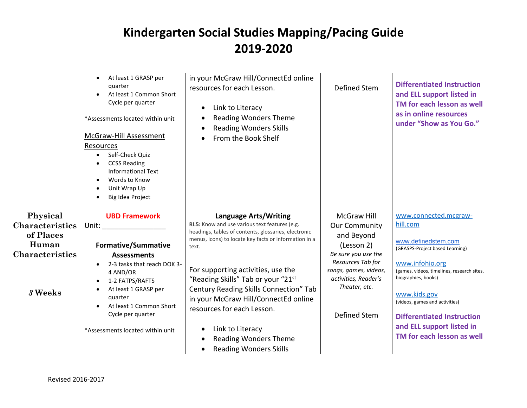|                                     | At least 1 GRASP per<br>quarter<br>At least 1 Common Short<br>Cycle per quarter<br>*Assessments located within unit<br><b>McGraw-Hill Assessment</b><br>Resources<br>Self-Check Quiz<br><b>CCSS Reading</b><br><b>Informational Text</b><br>Words to Know<br>Unit Wrap Up<br>Big Idea Project | in your McGraw Hill/ConnectEd online<br>resources for each Lesson.<br>Link to Literacy<br><b>Reading Wonders Theme</b><br><b>Reading Wonders Skills</b><br>From the Book Shelf           | <b>Defined Stem</b>                                                                                 | <b>Differentiated Instruction</b><br>and ELL support listed in<br>TM for each lesson as well<br>as in online resources<br>under "Show as You Go." |
|-------------------------------------|-----------------------------------------------------------------------------------------------------------------------------------------------------------------------------------------------------------------------------------------------------------------------------------------------|------------------------------------------------------------------------------------------------------------------------------------------------------------------------------------------|-----------------------------------------------------------------------------------------------------|---------------------------------------------------------------------------------------------------------------------------------------------------|
| Physical                            | <b>UBD Framework</b>                                                                                                                                                                                                                                                                          | <b>Language Arts/Writing</b>                                                                                                                                                             | <b>McGraw Hill</b>                                                                                  | www.connected.mcgraw-                                                                                                                             |
| <b>Characteristics</b><br>of Places | Unit: and the contract of the contract of the contract of the contract of the contract of the contract of the contract of the contract of the contract of the contract of the contract of the contract of the contract of the                                                                 | RI.5: Know and use various text features (e.g.<br>headings, tables of contents, glossaries, electronic                                                                                   | <b>Our Community</b><br>and Beyond                                                                  | hill.com                                                                                                                                          |
| Human                               | <b>Formative/Summative</b>                                                                                                                                                                                                                                                                    | menus, icons) to locate key facts or information in a<br>text.                                                                                                                           | (Lesson 2)                                                                                          | www.definedstem.com<br>(GRASPS-Project based Learning)                                                                                            |
| <b>Characteristics</b>              | <b>Assessments</b>                                                                                                                                                                                                                                                                            |                                                                                                                                                                                          | Be sure you use the                                                                                 |                                                                                                                                                   |
| 3 Weeks                             | 2-3 tasks that reach DOK 3-<br>4 AND/OR<br>1-2 FATPS/RAFTS<br>At least 1 GRASP per<br>quarter<br>At least 1 Common Short<br>Cycle per quarter                                                                                                                                                 | For supporting activities, use the<br>"Reading Skills" Tab or your "21st<br>Century Reading Skills Connection" Tab<br>in your McGraw Hill/ConnectEd online<br>resources for each Lesson. | Resources Tab for<br>songs, games, videos,<br>activities, Reader's<br>Theater, etc.<br>Defined Stem | www.infohio.org<br>(games, videos, timelines, research sites,<br>biographies, books)<br>www.kids.gov<br>(videos, games and activities)            |
|                                     | *Assessments located within unit                                                                                                                                                                                                                                                              | Link to Literacy<br><b>Reading Wonders Theme</b><br><b>Reading Wonders Skills</b>                                                                                                        |                                                                                                     | <b>Differentiated Instruction</b><br>and ELL support listed in<br>TM for each lesson as well                                                      |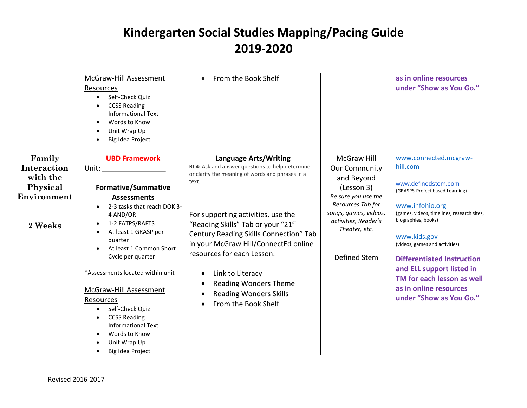|                        | McGraw-Hill Assessment<br>Resources<br>Self-Check Quiz<br><b>CCSS Reading</b><br><b>Informational Text</b><br>Words to Know<br>Unit Wrap Up<br>$\bullet$<br>Big Idea Project                                                                                                                                                                                                                                      | From the Book Shelf<br>$\bullet$                                                                                                                                                                                                                                                                     |                                                                                                                            | as in online resources<br>under "Show as You Go."                                                                                                                                                                                                                                           |
|------------------------|-------------------------------------------------------------------------------------------------------------------------------------------------------------------------------------------------------------------------------------------------------------------------------------------------------------------------------------------------------------------------------------------------------------------|------------------------------------------------------------------------------------------------------------------------------------------------------------------------------------------------------------------------------------------------------------------------------------------------------|----------------------------------------------------------------------------------------------------------------------------|---------------------------------------------------------------------------------------------------------------------------------------------------------------------------------------------------------------------------------------------------------------------------------------------|
| Family                 | <b>UBD Framework</b>                                                                                                                                                                                                                                                                                                                                                                                              | <b>Language Arts/Writing</b>                                                                                                                                                                                                                                                                         | <b>McGraw Hill</b>                                                                                                         | www.connected.mcgraw-                                                                                                                                                                                                                                                                       |
| Interaction            | Unit:                                                                                                                                                                                                                                                                                                                                                                                                             | RI.4: Ask and answer questions to help determine<br>or clarify the meaning of words and phrases in a                                                                                                                                                                                                 | <b>Our Community</b>                                                                                                       | hill.com                                                                                                                                                                                                                                                                                    |
| with the               |                                                                                                                                                                                                                                                                                                                                                                                                                   | text.                                                                                                                                                                                                                                                                                                | and Beyond                                                                                                                 | www.definedstem.com                                                                                                                                                                                                                                                                         |
| Physical               | <b>Formative/Summative</b>                                                                                                                                                                                                                                                                                                                                                                                        |                                                                                                                                                                                                                                                                                                      | (Lesson 3)                                                                                                                 | (GRASPS-Project based Learning)                                                                                                                                                                                                                                                             |
| Environment<br>2 Weeks | <b>Assessments</b><br>2-3 tasks that reach DOK 3-<br>4 AND/OR<br>1-2 FATPS/RAFTS<br>$\bullet$<br>At least 1 GRASP per<br>$\bullet$<br>quarter<br>At least 1 Common Short<br>Cycle per quarter<br>*Assessments located within unit<br>McGraw-Hill Assessment<br>Resources<br>Self-Check Quiz<br><b>CCSS Reading</b><br><b>Informational Text</b><br>Words to Know<br>Unit Wrap Up<br>Big Idea Project<br>$\bullet$ | For supporting activities, use the<br>"Reading Skills" Tab or your "21st<br>Century Reading Skills Connection" Tab<br>in your McGraw Hill/ConnectEd online<br>resources for each Lesson.<br>Link to Literacy<br><b>Reading Wonders Theme</b><br><b>Reading Wonders Skills</b><br>From the Book Shelf | Be sure you use the<br>Resources Tab for<br>songs, games, videos,<br>activities, Reader's<br>Theater, etc.<br>Defined Stem | www.infohio.org<br>(games, videos, timelines, research sites,<br>biographies, books)<br>www.kids.gov<br>(videos, games and activities)<br><b>Differentiated Instruction</b><br>and ELL support listed in<br>TM for each lesson as well<br>as in online resources<br>under "Show as You Go." |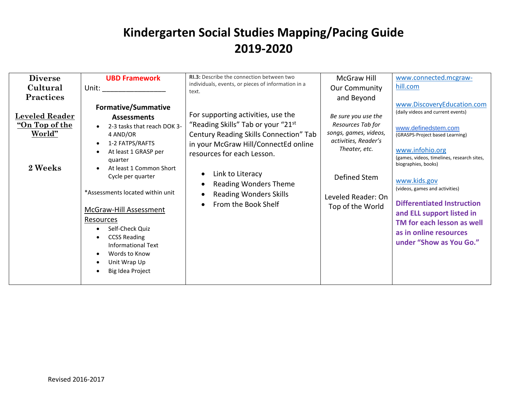| <b>Diverse</b><br>Cultural<br><b>Practices</b><br><b>Leveled Reader</b><br>"On Top of the<br>World"<br>2 Weeks | <b>UBD Framework</b><br><b>Formative/Summative</b><br><b>Assessments</b><br>2-3 tasks that reach DOK 3-<br>4 AND/OR<br>1-2 FATPS/RAFTS<br>$\bullet$<br>At least 1 GRASP per<br>$\bullet$<br>quarter<br>At least 1 Common Short<br>Cycle per quarter<br>*Assessments located within unit<br><b>McGraw-Hill Assessment</b><br>Resources<br>Self-Check Quiz<br><b>CCSS Reading</b><br>$\bullet$<br><b>Informational Text</b><br>Words to Know<br>$\bullet$<br>Unit Wrap Up<br>Big Idea Project | RI.3: Describe the connection between two<br>individuals, events, or pieces of information in a<br>text.<br>For supporting activities, use the<br>"Reading Skills" Tab or your "21st<br>Century Reading Skills Connection" Tab<br>in your McGraw Hill/ConnectEd online<br>resources for each Lesson.<br>Link to Literacy<br><b>Reading Wonders Theme</b><br><b>Reading Wonders Skills</b><br>From the Book Shelf | <b>McGraw Hill</b><br><b>Our Community</b><br>and Beyond<br>Be sure you use the<br>Resources Tab for<br>songs, games, videos,<br>activities, Reader's<br>Theater, etc.<br>Defined Stem<br>Leveled Reader: On<br>Top of the World | www.connected.mcgraw-<br>hill.com<br>www.DiscoveryEducation.com<br>(daily videos and current events)<br>www.definedstem.com<br>(GRASPS-Project based Learning)<br>www.infohio.org<br>(games, videos, timelines, research sites,<br>biographies, books)<br>www.kids.gov<br>(videos, games and activities)<br><b>Differentiated Instruction</b><br>and ELL support listed in<br>TM for each lesson as well<br>as in online resources<br>under "Show as You Go." |
|----------------------------------------------------------------------------------------------------------------|---------------------------------------------------------------------------------------------------------------------------------------------------------------------------------------------------------------------------------------------------------------------------------------------------------------------------------------------------------------------------------------------------------------------------------------------------------------------------------------------|------------------------------------------------------------------------------------------------------------------------------------------------------------------------------------------------------------------------------------------------------------------------------------------------------------------------------------------------------------------------------------------------------------------|----------------------------------------------------------------------------------------------------------------------------------------------------------------------------------------------------------------------------------|---------------------------------------------------------------------------------------------------------------------------------------------------------------------------------------------------------------------------------------------------------------------------------------------------------------------------------------------------------------------------------------------------------------------------------------------------------------|
|----------------------------------------------------------------------------------------------------------------|---------------------------------------------------------------------------------------------------------------------------------------------------------------------------------------------------------------------------------------------------------------------------------------------------------------------------------------------------------------------------------------------------------------------------------------------------------------------------------------------|------------------------------------------------------------------------------------------------------------------------------------------------------------------------------------------------------------------------------------------------------------------------------------------------------------------------------------------------------------------------------------------------------------------|----------------------------------------------------------------------------------------------------------------------------------------------------------------------------------------------------------------------------------|---------------------------------------------------------------------------------------------------------------------------------------------------------------------------------------------------------------------------------------------------------------------------------------------------------------------------------------------------------------------------------------------------------------------------------------------------------------|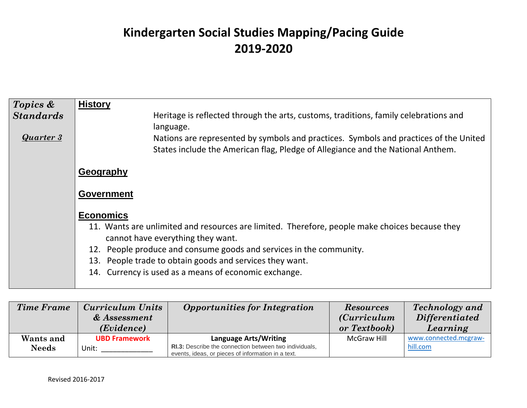| Topics &         | <b>History</b>                                                                                                                                                                        |
|------------------|---------------------------------------------------------------------------------------------------------------------------------------------------------------------------------------|
| <b>Standards</b> | Heritage is reflected through the arts, customs, traditions, family celebrations and                                                                                                  |
| <b>Quarter 3</b> | language.<br>Nations are represented by symbols and practices. Symbols and practices of the United<br>States include the American flag, Pledge of Allegiance and the National Anthem. |
|                  | Geography                                                                                                                                                                             |
|                  | <b>Government</b>                                                                                                                                                                     |
|                  | <b>Economics</b>                                                                                                                                                                      |
|                  | 11. Wants are unlimited and resources are limited. Therefore, people make choices because they<br>cannot have everything they want.                                                   |
|                  | 12. People produce and consume goods and services in the community.                                                                                                                   |
|                  | 13. People trade to obtain goods and services they want.                                                                                                                              |
|                  | 14. Currency is used as a means of economic exchange.                                                                                                                                 |

| <b>Time Frame</b>         | Curriculum Units<br>& Assessment<br>(Evidence) | <b>Opportunities for Integration</b>                                                                                                                | <b>Resources</b><br><i>(Curriculum</i> )<br>or Textbook) | <b>Technology</b> and<br><i>Differentiated</i><br>Learning |
|---------------------------|------------------------------------------------|-----------------------------------------------------------------------------------------------------------------------------------------------------|----------------------------------------------------------|------------------------------------------------------------|
| Wants and<br><b>Needs</b> | <b>UBD Framework</b><br>Unit:                  | <b>Language Arts/Writing</b><br><b>RI.3:</b> Describe the connection between two individuals,<br>events, ideas, or pieces of information in a text. | McGraw Hill                                              | www.connected.mcgraw-<br>hill.com                          |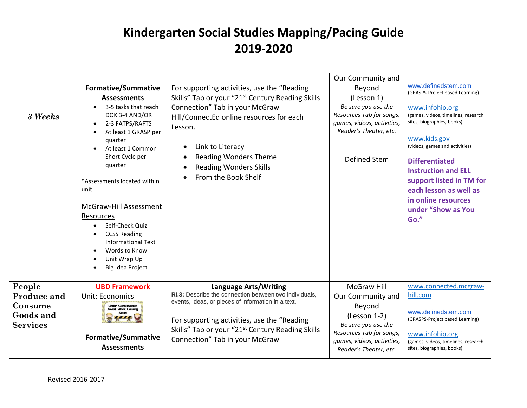| 3 Weeks                                                          | Formative/Summative<br><b>Assessments</b><br>3-5 tasks that reach<br>DOK 3-4 AND/OR<br>2-3 FATPS/RAFTS<br>At least 1 GRASP per<br>quarter<br>At least 1 Common<br>Short Cycle per<br>quarter<br>*Assessments located within<br>unit<br>McGraw-Hill Assessment<br>Resources<br>Self-Check Quiz<br><b>CCSS Reading</b><br><b>Informational Text</b><br>Words to Know<br>Unit Wrap Up<br>Big Idea Project | For supporting activities, use the "Reading<br>Skills" Tab or your "21 <sup>st</sup> Century Reading Skills<br>Connection" Tab in your McGraw<br>Hill/ConnectEd online resources for each<br>Lesson.<br>Link to Literacy<br><b>Reading Wonders Theme</b><br><b>Reading Wonders Skills</b><br>From the Book Shelf | Our Community and<br>Beyond<br>(Lesson 1)<br>Be sure you use the<br>Resources Tab for songs,<br>games, videos, activities,<br>Reader's Theater, etc.<br>Defined Stem           | www.definedstem.com<br>(GRASPS-Project based Learning)<br>www.infohio.org<br>(games, videos, timelines, research<br>sites, biographies, books)<br>www.kids.gov<br>(videos, games and activities)<br><b>Differentiated</b><br><b>Instruction and ELL</b><br>support listed in TM for<br>each lesson as well as<br>in online resources<br>under "Show as You<br>Go." |
|------------------------------------------------------------------|--------------------------------------------------------------------------------------------------------------------------------------------------------------------------------------------------------------------------------------------------------------------------------------------------------------------------------------------------------------------------------------------------------|------------------------------------------------------------------------------------------------------------------------------------------------------------------------------------------------------------------------------------------------------------------------------------------------------------------|--------------------------------------------------------------------------------------------------------------------------------------------------------------------------------|--------------------------------------------------------------------------------------------------------------------------------------------------------------------------------------------------------------------------------------------------------------------------------------------------------------------------------------------------------------------|
| People<br>Produce and<br>Consume<br>Goods and<br><b>Services</b> | <b>UBD Framework</b><br>Unit: Economics<br><b>Under Construction</b><br><b>Great Work Coming</b><br><b>Formative/Summative</b><br><b>Assessments</b>                                                                                                                                                                                                                                                   | <b>Language Arts/Writing</b><br>RI.3: Describe the connection between two individuals,<br>events, ideas, or pieces of information in a text.<br>For supporting activities, use the "Reading<br>Skills" Tab or your "21 <sup>st</sup> Century Reading Skills<br>Connection" Tab in your McGraw                    | <b>McGraw Hill</b><br>Our Community and<br>Beyond<br>$(Lesson 1-2)$<br>Be sure you use the<br>Resources Tab for songs,<br>games, videos, activities,<br>Reader's Theater, etc. | www.connected.mcgraw-<br>hill.com<br>www.definedstem.com<br>(GRASPS-Project based Learning)<br>www.infohio.org<br>(games, videos, timelines, research<br>sites, biographies, books)                                                                                                                                                                                |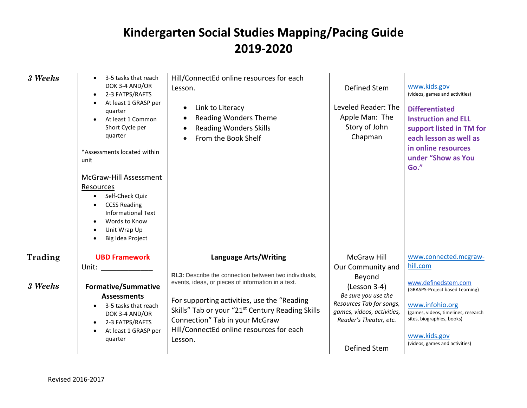| 3 Weeks | 3-5 tasks that reach<br>DOK 3-4 AND/OR<br>2-3 FATPS/RAFTS<br>At least 1 GRASP per<br>quarter<br>At least 1 Common<br>Short Cycle per<br>quarter<br>*Assessments located within<br>unit<br>McGraw-Hill Assessment<br>Resources<br>Self-Check Quiz<br><b>CCSS Reading</b><br><b>Informational Text</b><br>Words to Know<br>Unit Wrap Up<br>Big Idea Project | Hill/ConnectEd online resources for each<br>Lesson.<br>Link to Literacy<br><b>Reading Wonders Theme</b><br><b>Reading Wonders Skills</b><br>From the Book Shelf                                                                                                                                                      | Defined Stem<br>Leveled Reader: The<br>Apple Man: The<br>Story of John<br>Chapman                                                                                        | www.kids.gov<br>(videos, games and activities)<br><b>Differentiated</b><br><b>Instruction and ELL</b><br>support listed in TM for<br>each lesson as well as<br>in online resources<br>under "Show as You<br>Go." |
|---------|-----------------------------------------------------------------------------------------------------------------------------------------------------------------------------------------------------------------------------------------------------------------------------------------------------------------------------------------------------------|----------------------------------------------------------------------------------------------------------------------------------------------------------------------------------------------------------------------------------------------------------------------------------------------------------------------|--------------------------------------------------------------------------------------------------------------------------------------------------------------------------|------------------------------------------------------------------------------------------------------------------------------------------------------------------------------------------------------------------|
| Trading | <b>UBD Framework</b>                                                                                                                                                                                                                                                                                                                                      | <b>Language Arts/Writing</b>                                                                                                                                                                                                                                                                                         | <b>McGraw Hill</b>                                                                                                                                                       | www.connected.mcgraw-                                                                                                                                                                                            |
| 3 Weeks | Unit:<br><b>Formative/Summative</b><br><b>Assessments</b><br>3-5 tasks that reach<br>DOK 3-4 AND/OR<br>2-3 FATPS/RAFTS<br>At least 1 GRASP per<br>quarter                                                                                                                                                                                                 | RI.3: Describe the connection between two individuals,<br>events, ideas, or pieces of information in a text.<br>For supporting activities, use the "Reading<br>Skills" Tab or your "21 <sup>st</sup> Century Reading Skills<br>Connection" Tab in your McGraw<br>Hill/ConnectEd online resources for each<br>Lesson. | Our Community and<br>Beyond<br>$(Lesson 3-4)$<br>Be sure you use the<br>Resources Tab for songs,<br>games, videos, activities,<br>Reader's Theater, etc.<br>Defined Stem | hill.com<br>www.definedstem.com<br>(GRASPS-Project based Learning)<br>www.infohio.org<br>(games, videos, timelines, research<br>sites, biographies, books)<br>www.kids.gov<br>(videos, games and activities)     |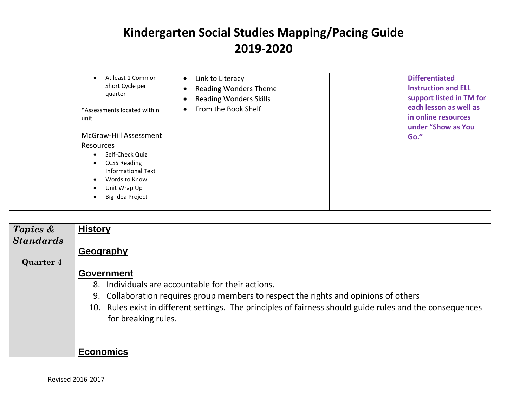| At least 1 Common<br>$\bullet$<br>Short Cycle per<br>quarter<br>*Assessments located within<br>unit<br>McGraw-Hill Assessment<br>Resources<br>Self-Check Quiz<br>$\bullet$<br><b>CCSS Reading</b><br>$\bullet$<br>Informational Text<br>Words to Know<br>$\bullet$<br>Unit Wrap Up<br>$\bullet$<br>Big Idea Project<br>$\bullet$ | Link to Literacy<br>$\bullet$<br><b>Reading Wonders Theme</b><br><b>Reading Wonders Skills</b><br>From the Book Shelf<br>$\bullet$ | <b>Differentiated</b><br><b>Instruction and ELL</b><br>support listed in TM for<br>each lesson as well as<br>in online resources<br>under "Show as You<br>Go." |
|----------------------------------------------------------------------------------------------------------------------------------------------------------------------------------------------------------------------------------------------------------------------------------------------------------------------------------|------------------------------------------------------------------------------------------------------------------------------------|----------------------------------------------------------------------------------------------------------------------------------------------------------------|
|----------------------------------------------------------------------------------------------------------------------------------------------------------------------------------------------------------------------------------------------------------------------------------------------------------------------------------|------------------------------------------------------------------------------------------------------------------------------------|----------------------------------------------------------------------------------------------------------------------------------------------------------------|

| Topics &         | <b>History</b>                                                                                                                   |
|------------------|----------------------------------------------------------------------------------------------------------------------------------|
| <b>Standards</b> |                                                                                                                                  |
|                  | Geography                                                                                                                        |
| <b>Quarter 4</b> |                                                                                                                                  |
|                  | <b>Government</b>                                                                                                                |
|                  | 8. Individuals are accountable for their actions.                                                                                |
|                  | 9. Collaboration requires group members to respect the rights and opinions of others                                             |
|                  | 10. Rules exist in different settings. The principles of fairness should guide rules and the consequences<br>for breaking rules. |
|                  |                                                                                                                                  |
|                  | <b>Economics</b>                                                                                                                 |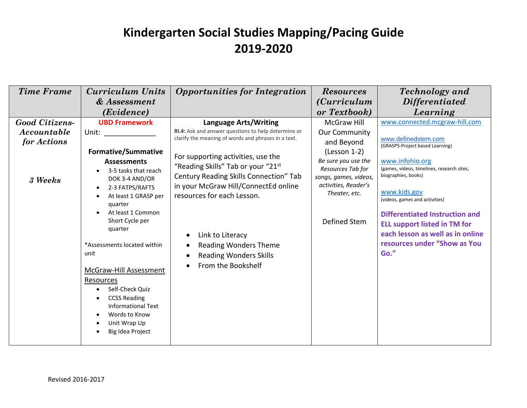| <b>Time Frame</b>                     | Curriculum Units                                                                                                                                                                                                                                                                                                                                                               | <b>Opportunities for Integration</b>                                                                                                                                                                                                                                                                                                                                                                                           | <b>Resources</b>                                                                                                                                                                 | <b>Technology</b> and                                                                                                                                                                                                                                                                                                                                        |
|---------------------------------------|--------------------------------------------------------------------------------------------------------------------------------------------------------------------------------------------------------------------------------------------------------------------------------------------------------------------------------------------------------------------------------|--------------------------------------------------------------------------------------------------------------------------------------------------------------------------------------------------------------------------------------------------------------------------------------------------------------------------------------------------------------------------------------------------------------------------------|----------------------------------------------------------------------------------------------------------------------------------------------------------------------------------|--------------------------------------------------------------------------------------------------------------------------------------------------------------------------------------------------------------------------------------------------------------------------------------------------------------------------------------------------------------|
|                                       | & Assessment                                                                                                                                                                                                                                                                                                                                                                   |                                                                                                                                                                                                                                                                                                                                                                                                                                | <i>(Curriculum</i> )                                                                                                                                                             | <i>Differentiated</i>                                                                                                                                                                                                                                                                                                                                        |
|                                       | (Evidence)                                                                                                                                                                                                                                                                                                                                                                     |                                                                                                                                                                                                                                                                                                                                                                                                                                | or Textbook)                                                                                                                                                                     | Learning                                                                                                                                                                                                                                                                                                                                                     |
| <b>Good Citizens-</b>                 | <b>UBD Framework</b>                                                                                                                                                                                                                                                                                                                                                           | <b>Language Arts/Writing</b>                                                                                                                                                                                                                                                                                                                                                                                                   | <b>McGraw Hill</b>                                                                                                                                                               | www.connected.mcgraw-hill.com                                                                                                                                                                                                                                                                                                                                |
| Accountable<br>for Actions<br>3 Weeks | Unit:<br><b>Formative/Summative</b><br><b>Assessments</b><br>3-5 tasks that reach<br>DOK 3-4 AND/OR<br>2-3 FATPS/RAFTS<br>$\bullet$<br>At least 1 GRASP per<br>quarter<br>At least 1 Common<br>Short Cycle per<br>quarter<br>*Assessments located within<br>unit<br>McGraw-Hill Assessment<br>Resources<br>Self-Check Quiz<br><b>CCSS Reading</b><br><b>Informational Text</b> | RI.4: Ask and answer questions to help determine or<br>clarify the meaning of words and phrases in a text.<br>For supporting activities, use the<br>"Reading Skills" Tab or your "21st<br>Century Reading Skills Connection" Tab<br>in your McGraw Hill/ConnectEd online<br>resources for each Lesson.<br>Link to Literacy<br>$\bullet$<br><b>Reading Wonders Theme</b><br><b>Reading Wonders Skills</b><br>From the Bookshelf | <b>Our Community</b><br>and Beyond<br>(Lesson 1-2)<br>Be sure you use the<br>Resources Tab for<br>songs, games, videos,<br>activities, Reader's<br>Theater, etc.<br>Defined Stem | www.definedstem.com<br>(GRASPS-Project based Learning)<br>www.infohio.org<br>(games, videos, timelines, research sites,<br>biographies, books)<br>www.kids.gov<br>(videos, games and activities)<br><b>Differentiated Instruction and</b><br><b>ELL support listed in TM for</b><br>each lesson as well as in online<br>resources under "Show as You<br>Go." |
|                                       | Words to Know<br>Unit Wrap Up<br>Big Idea Project                                                                                                                                                                                                                                                                                                                              |                                                                                                                                                                                                                                                                                                                                                                                                                                |                                                                                                                                                                                  |                                                                                                                                                                                                                                                                                                                                                              |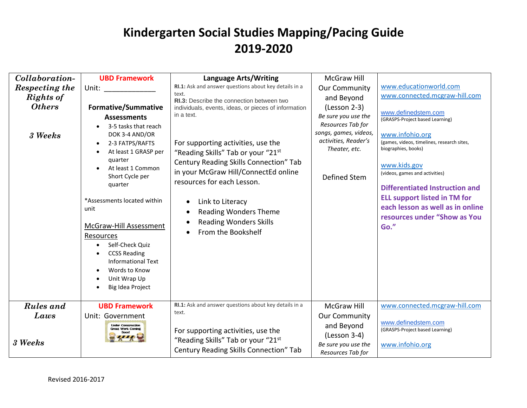| Collaboration-                      | <b>UBD Framework</b>                                                                                                                                                                                                                                                                                                                                                                                          | Language Arts/Writing                                                                                                                                                                                                                                                                                                                                                                                                  | <b>McGraw Hill</b>                                                                                                                           |                                                                                                                                                                                                                                                                                                                                                              |
|-------------------------------------|---------------------------------------------------------------------------------------------------------------------------------------------------------------------------------------------------------------------------------------------------------------------------------------------------------------------------------------------------------------------------------------------------------------|------------------------------------------------------------------------------------------------------------------------------------------------------------------------------------------------------------------------------------------------------------------------------------------------------------------------------------------------------------------------------------------------------------------------|----------------------------------------------------------------------------------------------------------------------------------------------|--------------------------------------------------------------------------------------------------------------------------------------------------------------------------------------------------------------------------------------------------------------------------------------------------------------------------------------------------------------|
| Respecting the                      | Unit: and the state of the state of the state of the state of the state of the state of the state of the state                                                                                                                                                                                                                                                                                                | RI.1: Ask and answer questions about key details in a                                                                                                                                                                                                                                                                                                                                                                  | <b>Our Community</b>                                                                                                                         | www.educationworld.com                                                                                                                                                                                                                                                                                                                                       |
| <b>Rights of</b>                    |                                                                                                                                                                                                                                                                                                                                                                                                               | text.                                                                                                                                                                                                                                                                                                                                                                                                                  | and Beyond                                                                                                                                   | www.connected.mcgraw-hill.com                                                                                                                                                                                                                                                                                                                                |
| <b>Others</b><br>3 Weeks            | <b>Formative/Summative</b><br><b>Assessments</b><br>3-5 tasks that reach<br>DOK 3-4 AND/OR<br>2-3 FATPS/RAFTS<br>At least 1 GRASP per<br>quarter<br>At least 1 Common<br>Short Cycle per<br>quarter<br>*Assessments located within<br>unit<br>McGraw-Hill Assessment<br>Resources<br>Self-Check Quiz<br><b>CCSS Reading</b><br><b>Informational Text</b><br>Words to Know<br>Unit Wrap Up<br>Big Idea Project | RI.3: Describe the connection between two<br>individuals, events, ideas, or pieces of information<br>in a text.<br>For supporting activities, use the<br>"Reading Skills" Tab or your "21st<br>Century Reading Skills Connection" Tab<br>in your McGraw Hill/ConnectEd online<br>resources for each Lesson.<br>Link to Literacy<br><b>Reading Wonders Theme</b><br><b>Reading Wonders Skills</b><br>From the Bookshelf | $(Lesson 2-3)$<br>Be sure you use the<br>Resources Tab for<br>songs, games, videos,<br>activities, Reader's<br>Theater, etc.<br>Defined Stem | www.definedstem.com<br>(GRASPS-Project based Learning)<br>www.infohio.org<br>(games, videos, timelines, research sites,<br>biographies, books)<br>www.kids.gov<br>(videos, games and activities)<br><b>Differentiated Instruction and</b><br><b>ELL support listed in TM for</b><br>each lesson as well as in online<br>resources under "Show as You<br>Go." |
| <b>Rules</b> and<br>Laws<br>3 Weeks | <b>UBD Framework</b><br>Unit: Government<br><b>Under Construction</b><br><b>Great Work Coming</b>                                                                                                                                                                                                                                                                                                             | RI.1: Ask and answer questions about key details in a<br>text.<br>For supporting activities, use the<br>"Reading Skills" Tab or your "21st<br>Century Reading Skills Connection" Tab                                                                                                                                                                                                                                   | <b>McGraw Hill</b><br><b>Our Community</b><br>and Beyond<br>(Lesson 3-4)<br>Be sure you use the<br>Resources Tab for                         | www.connected.mcgraw-hill.com<br>www.definedstem.com<br>(GRASPS-Project based Learning)<br>www.infohio.org                                                                                                                                                                                                                                                   |